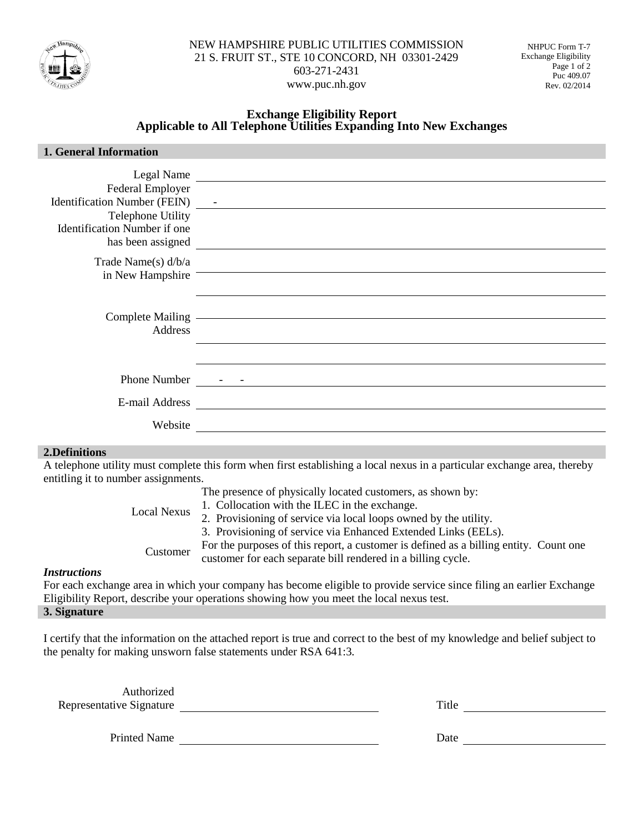

### **Exchange Eligibility Report Applicable to All Telephone Utilities Expanding Into New Exchanges**

| 1. General Information                              |                                                                                                                      |
|-----------------------------------------------------|----------------------------------------------------------------------------------------------------------------------|
|                                                     | Legal Name                                                                                                           |
| Federal Employer                                    |                                                                                                                      |
| Identification Number (FEIN) -<br>Telephone Utility |                                                                                                                      |
| Identification Number if one                        |                                                                                                                      |
| has been assigned                                   |                                                                                                                      |
| Trade Name(s) $d/b/a$                               |                                                                                                                      |
| in New Hampshire                                    |                                                                                                                      |
|                                                     |                                                                                                                      |
|                                                     |                                                                                                                      |
| Address                                             |                                                                                                                      |
|                                                     |                                                                                                                      |
| <b>Phone Number</b>                                 | <u> 2007 - Januar Alexander (h. 1888).</u><br>1908 - Johann Barnett, fransk politik (h. 1808).                       |
| E-mail Address                                      | <u> 1980 - Andrea State Barbara, amerikan personal di sebagai personal di sebagai personal di sebagai personal d</u> |
|                                                     |                                                                                                                      |
| Website                                             | <u> 1989 - Johann John Stone, markin film yn y brening yn y brening yn y brening yn y brening y brening yn y bre</u> |
| 2 Definitions                                       |                                                                                                                      |

#### **2.Definitions**

A telephone utility must complete this form when first establishing a local nexus in a particular exchange area, thereby entitling it to number assignments.

The presence of physically located customers, as shown by:

Local Nexus 1. Collocation with the ILEC in the exchange.

2. Provisioning of service via local loops owned by the utility.

3. Provisioning of service via Enhanced Extended Links (EELs).

Customer For the purposes of this report, a customer is defined as a billing entity. Count one customer for each separate bill rendered in a billing cycle.

#### *Instructions*

For each exchange area in which your company has become eligible to provide service since filing an earlier Exchange Eligibility Report, describe your operations showing how you meet the local nexus test.

# **3. Signature**

I certify that the information on the attached report is true and correct to the best of my knowledge and belief subject to the penalty for making unsworn false statements under RSA 641:3.

Authorized Representative Signature Title

Printed Name Date Date